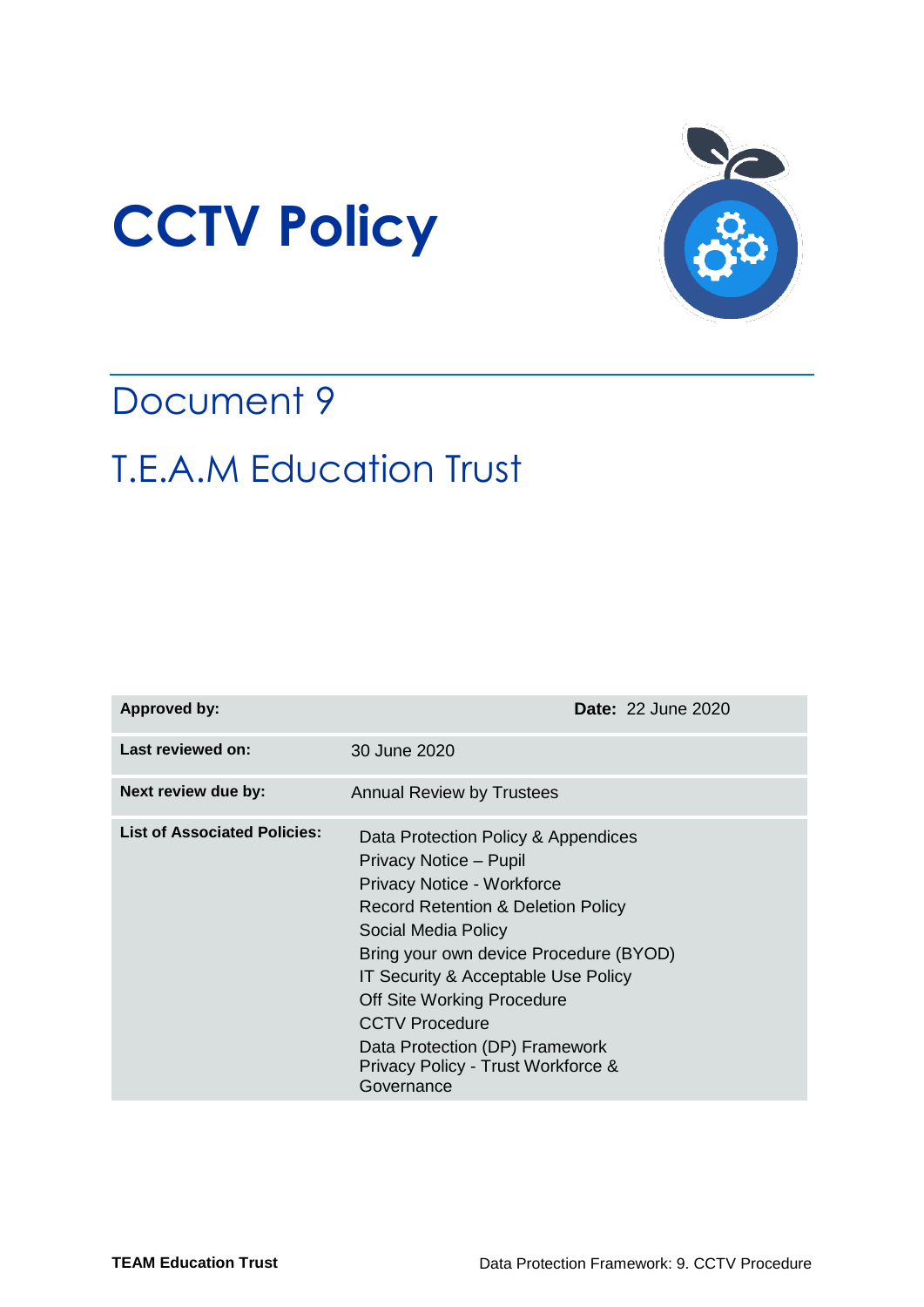



## Document 9 T.E.A.M Education Trust

| <b>Approved by:</b>                 | <b>Date: 22 June 2020</b>                                                                                                                                                                                                                                                                                                                                                                                |  |  |  |
|-------------------------------------|----------------------------------------------------------------------------------------------------------------------------------------------------------------------------------------------------------------------------------------------------------------------------------------------------------------------------------------------------------------------------------------------------------|--|--|--|
| Last reviewed on:                   | 30 June 2020                                                                                                                                                                                                                                                                                                                                                                                             |  |  |  |
| Next review due by:                 | <b>Annual Review by Trustees</b>                                                                                                                                                                                                                                                                                                                                                                         |  |  |  |
| <b>List of Associated Policies:</b> | Data Protection Policy & Appendices<br>Privacy Notice - Pupil<br><b>Privacy Notice - Workforce</b><br><b>Record Retention &amp; Deletion Policy</b><br>Social Media Policy<br>Bring your own device Procedure (BYOD)<br>IT Security & Acceptable Use Policy<br>Off Site Working Procedure<br><b>CCTV Procedure</b><br>Data Protection (DP) Framework<br>Privacy Policy - Trust Workforce &<br>Governance |  |  |  |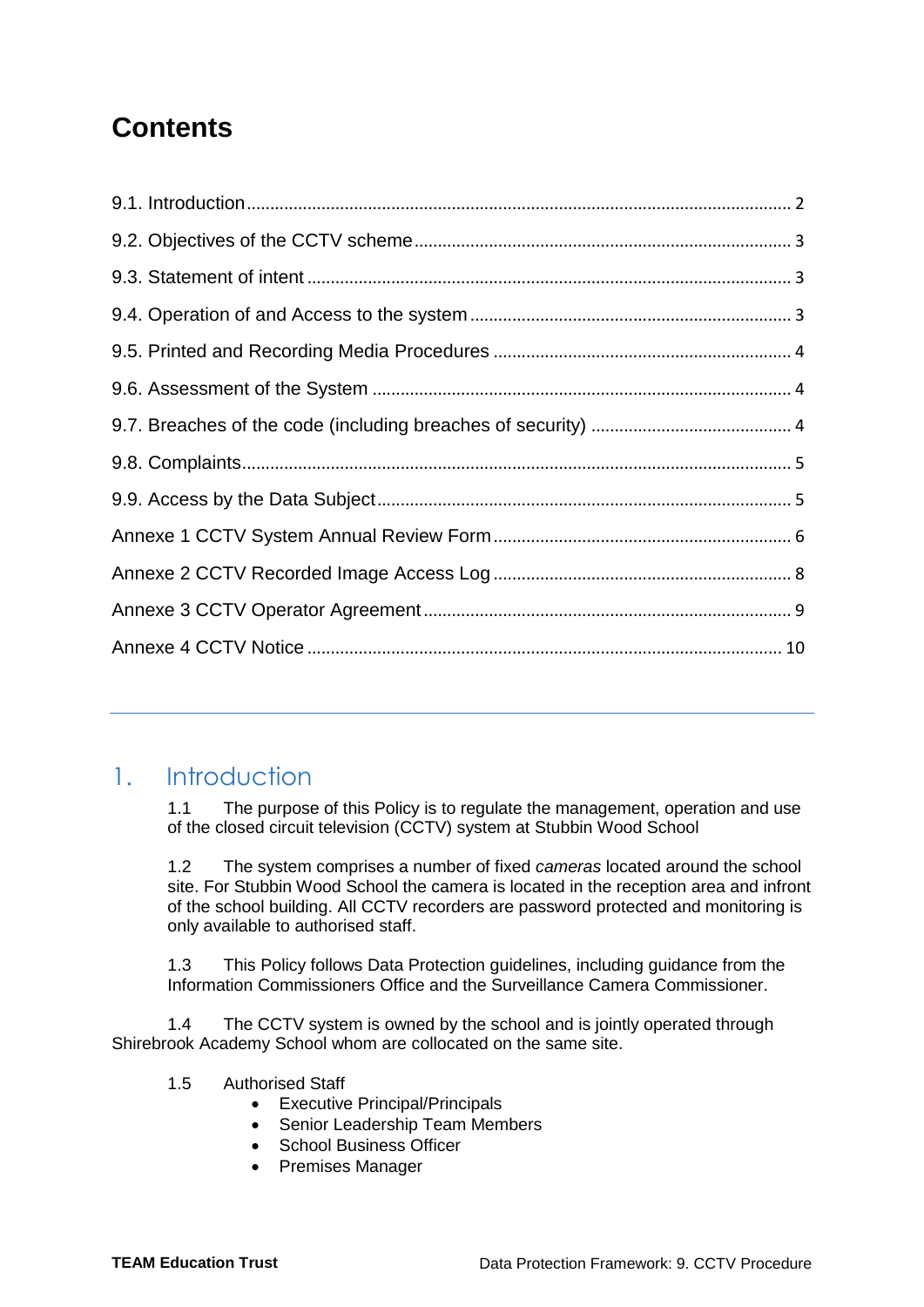## **Contents**

## <span id="page-1-0"></span>1. Introduction

1.1 The purpose of this Policy is to regulate the management, operation and use of the closed circuit television (CCTV) system at Stubbin Wood School

1.2 The system comprises a number of fixed *cameras* located around the school site. For Stubbin Wood School the camera is located in the reception area and infront of the school building. All CCTV recorders are password protected and monitoring is only available to authorised staff.

1.3 This Policy follows Data Protection guidelines, including guidance from the Information Commissioners Office and the Surveillance Camera Commissioner.

1.4 The CCTV system is owned by the school and is jointly operated through Shirebrook Academy School whom are collocated on the same site.

- 1.5 Authorised Staff
	- Executive Principal/Principals
	- Senior Leadership Team Members
	- School Business Officer
	- Premises Manager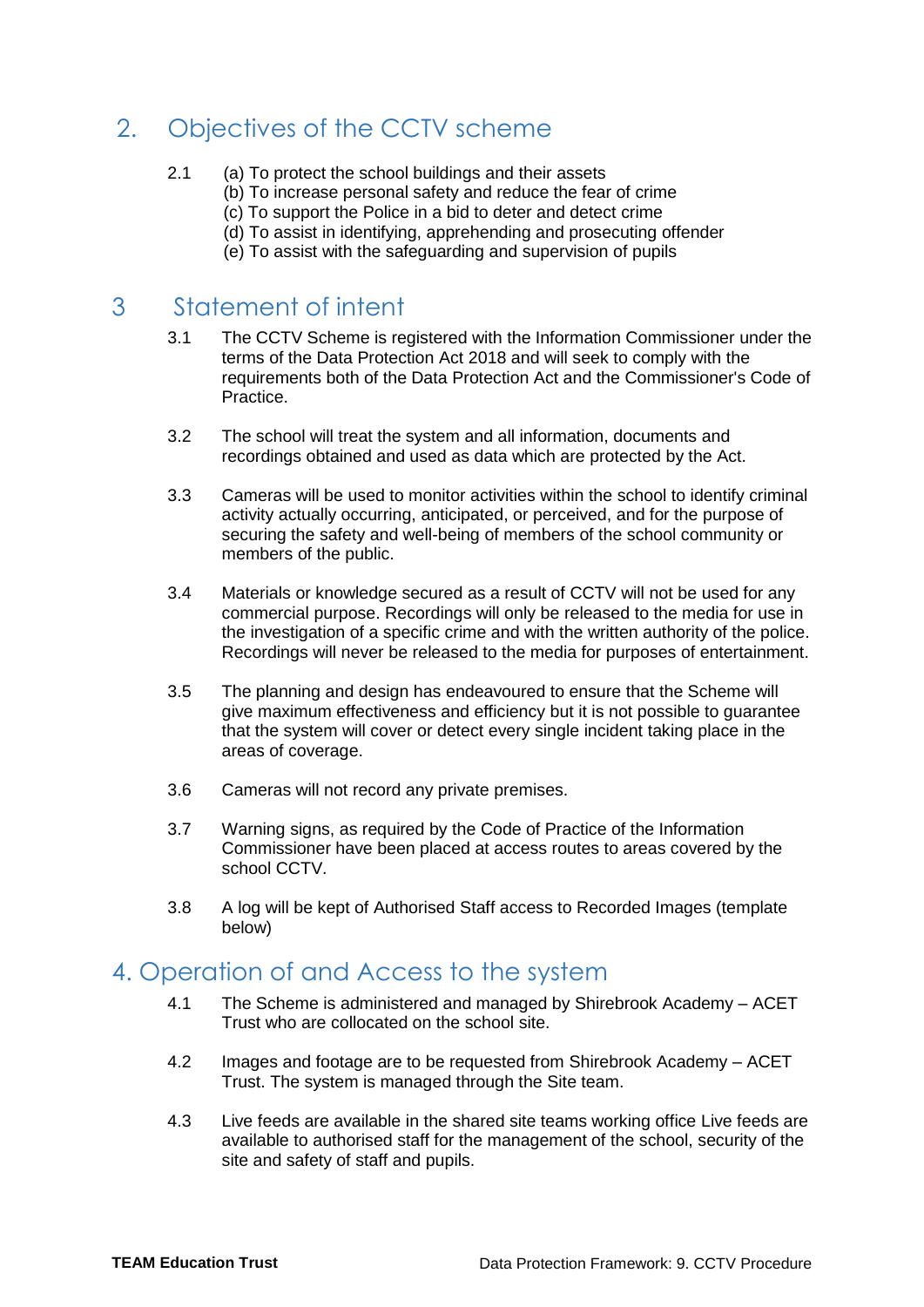## <span id="page-2-0"></span>2. Objectives of the CCTV scheme

- 2.1 (a) To protect the school buildings and their assets
	- (b) To increase personal safety and reduce the fear of crime
	- (c) To support the Police in a bid to deter and detect crime
	- (d) To assist in identifying, apprehending and prosecuting offender
	- (e) To assist with the safeguarding and supervision of pupils

## <span id="page-2-1"></span>3 Statement of intent

- 3.1 The CCTV Scheme is registered with the Information Commissioner under the terms of the Data Protection Act 2018 and will seek to comply with the requirements both of the Data Protection Act and the Commissioner's Code of Practice.
- 3.2 The school will treat the system and all information, documents and recordings obtained and used as data which are protected by the Act.
- 3.3 Cameras will be used to monitor activities within the school to identify criminal activity actually occurring, anticipated, or perceived, and for the purpose of securing the safety and well-being of members of the school community or members of the public.
- 3.4 Materials or knowledge secured as a result of CCTV will not be used for any commercial purpose. Recordings will only be released to the media for use in the investigation of a specific crime and with the written authority of the police. Recordings will never be released to the media for purposes of entertainment.
- 3.5 The planning and design has endeavoured to ensure that the Scheme will give maximum effectiveness and efficiency but it is not possible to guarantee that the system will cover or detect every single incident taking place in the areas of coverage.
- 3.6 Cameras will not record any private premises.
- 3.7 Warning signs, as required by the Code of Practice of the Information Commissioner have been placed at access routes to areas covered by the school CCTV.
- 3.8 A log will be kept of Authorised Staff access to Recorded Images (template below)

#### <span id="page-2-2"></span>4. Operation of and Access to the system

- 4.1 The Scheme is administered and managed by Shirebrook Academy ACET Trust who are collocated on the school site.
- 4.2 Images and footage are to be requested from Shirebrook Academy ACET Trust. The system is managed through the Site team.
- 4.3 Live feeds are available in the shared site teams working office Live feeds are available to authorised staff for the management of the school, security of the site and safety of staff and pupils.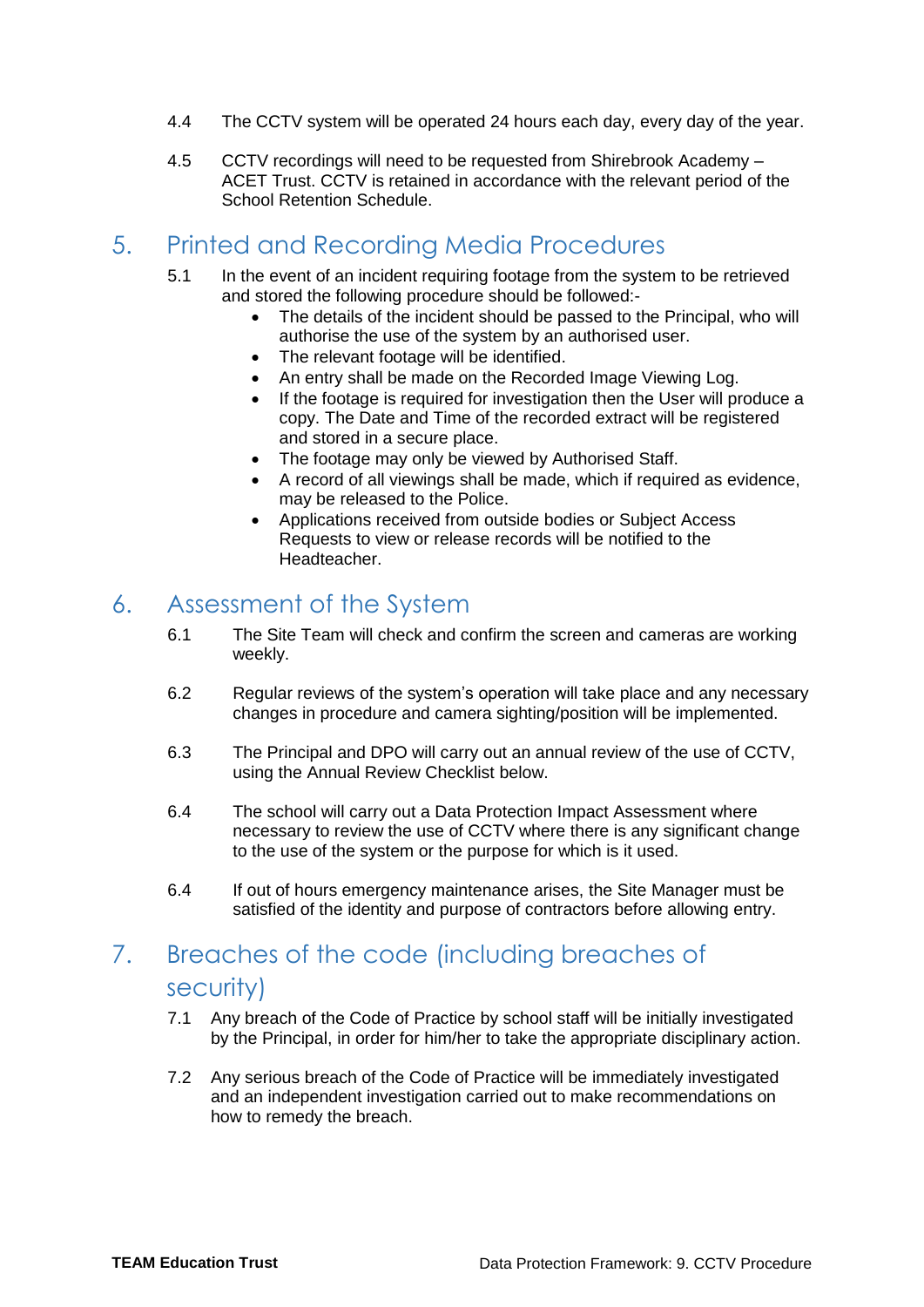- 4.4 The CCTV system will be operated 24 hours each day, every day of the year.
- 4.5 CCTV recordings will need to be requested from Shirebrook Academy ACET Trust. CCTV is retained in accordance with the relevant period of the School Retention Schedule.

## <span id="page-3-0"></span>5. Printed and Recording Media Procedures

- 5.1 In the event of an incident requiring footage from the system to be retrieved and stored the following procedure should be followed:-
	- The details of the incident should be passed to the Principal, who will authorise the use of the system by an authorised user.
	- The relevant footage will be identified.
	- An entry shall be made on the Recorded Image Viewing Log.
	- If the footage is required for investigation then the User will produce a copy. The Date and Time of the recorded extract will be registered and stored in a secure place.
	- The footage may only be viewed by Authorised Staff.
	- A record of all viewings shall be made, which if required as evidence, may be released to the Police.
	- Applications received from outside bodies or Subject Access Requests to view or release records will be notified to the **Headteacher**

#### <span id="page-3-1"></span>6. Assessment of the System

- 6.1 The Site Team will check and confirm the screen and cameras are working weekly.
- 6.2 Regular reviews of the system's operation will take place and any necessary changes in procedure and camera sighting/position will be implemented.
- 6.3 The Principal and DPO will carry out an annual review of the use of CCTV, using the Annual Review Checklist below.
- 6.4 The school will carry out a Data Protection Impact Assessment where necessary to review the use of CCTV where there is any significant change to the use of the system or the purpose for which is it used.
- 6.4 If out of hours emergency maintenance arises, the Site Manager must be satisfied of the identity and purpose of contractors before allowing entry.

## <span id="page-3-2"></span>7. Breaches of the code (including breaches of security)

- 7.1 Any breach of the Code of Practice by school staff will be initially investigated by the Principal, in order for him/her to take the appropriate disciplinary action.
- <span id="page-3-3"></span>7.2 Any serious breach of the Code of Practice will be immediately investigated and an independent investigation carried out to make recommendations on how to remedy the breach.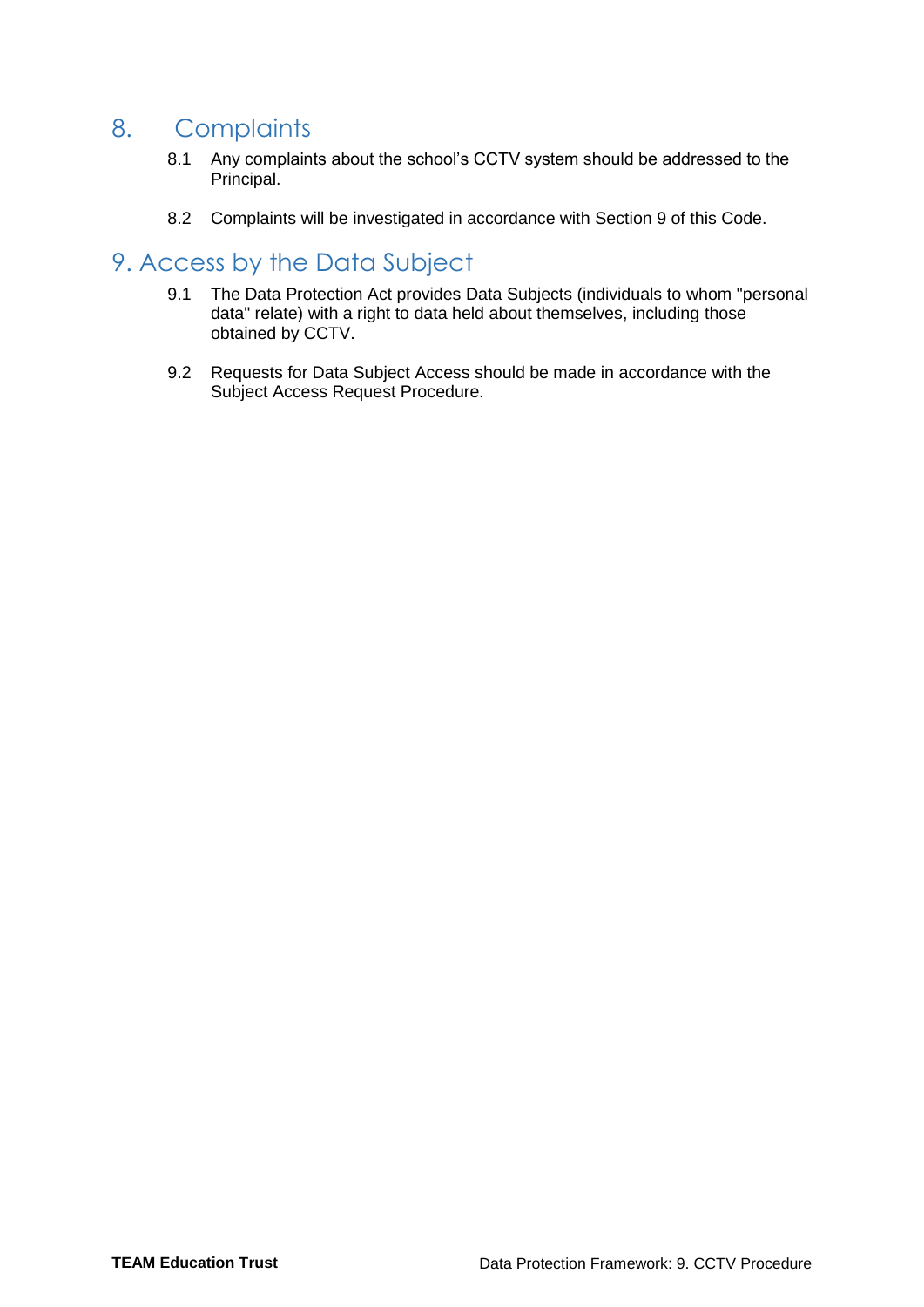## 8. Complaints

- 8.1 Any complaints about the school's CCTV system should be addressed to the Principal.
- 8.2 Complaints will be investigated in accordance with Section 9 of this Code.

#### <span id="page-4-0"></span>9. Access by the Data Subject

- 9.1 The Data Protection Act provides Data Subjects (individuals to whom "personal data" relate) with a right to data held about themselves, including those obtained by CCTV.
- 9.2 Requests for Data Subject Access should be made in accordance with the Subject Access Request Procedure.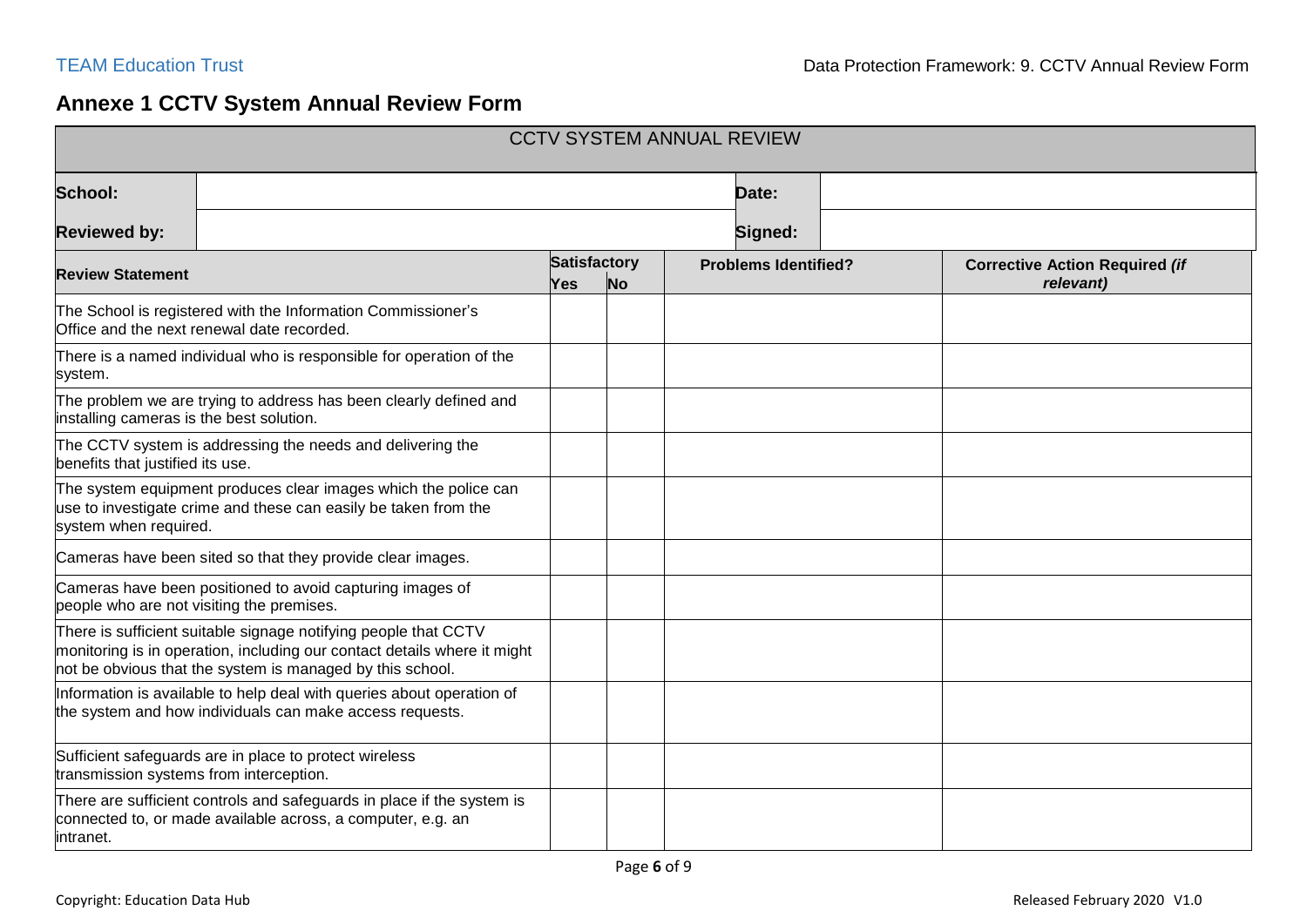### **Annexe 1 CCTV System Annual Review Form**

<span id="page-5-0"></span>

| <b>CCTV SYSTEM ANNUAL REVIEW</b>                                                                                                                            |                                                                                                                                                                                                          |                     |           |                             |  |                                                    |  |  |
|-------------------------------------------------------------------------------------------------------------------------------------------------------------|----------------------------------------------------------------------------------------------------------------------------------------------------------------------------------------------------------|---------------------|-----------|-----------------------------|--|----------------------------------------------------|--|--|
| School:                                                                                                                                                     |                                                                                                                                                                                                          |                     | Date:     |                             |  |                                                    |  |  |
| <b>Reviewed by:</b>                                                                                                                                         | Signed:                                                                                                                                                                                                  |                     |           |                             |  |                                                    |  |  |
| <b>Review Statement</b>                                                                                                                                     |                                                                                                                                                                                                          | Satisfactory<br>Yes | <b>No</b> | <b>Problems Identified?</b> |  | <b>Corrective Action Required (if</b><br>relevant) |  |  |
|                                                                                                                                                             | The School is registered with the Information Commissioner's<br>Office and the next renewal date recorded.                                                                                               |                     |           |                             |  |                                                    |  |  |
| system.                                                                                                                                                     | There is a named individual who is responsible for operation of the                                                                                                                                      |                     |           |                             |  |                                                    |  |  |
| installing cameras is the best solution.                                                                                                                    | The problem we are trying to address has been clearly defined and                                                                                                                                        |                     |           |                             |  |                                                    |  |  |
| benefits that justified its use.                                                                                                                            | The CCTV system is addressing the needs and delivering the                                                                                                                                               |                     |           |                             |  |                                                    |  |  |
| The system equipment produces clear images which the police can<br>use to investigate crime and these can easily be taken from the<br>system when required. |                                                                                                                                                                                                          |                     |           |                             |  |                                                    |  |  |
| Cameras have been sited so that they provide clear images.                                                                                                  |                                                                                                                                                                                                          |                     |           |                             |  |                                                    |  |  |
|                                                                                                                                                             | Cameras have been positioned to avoid capturing images of<br>people who are not visiting the premises.                                                                                                   |                     |           |                             |  |                                                    |  |  |
|                                                                                                                                                             | There is sufficient suitable signage notifying people that CCTV<br>monitoring is in operation, including our contact details where it might<br>not be obvious that the system is managed by this school. |                     |           |                             |  |                                                    |  |  |
|                                                                                                                                                             | Information is available to help deal with queries about operation of<br>the system and how individuals can make access requests.                                                                        |                     |           |                             |  |                                                    |  |  |
| transmission systems from interception.                                                                                                                     | Sufficient safeguards are in place to protect wireless                                                                                                                                                   |                     |           |                             |  |                                                    |  |  |
| intranet.                                                                                                                                                   | There are sufficient controls and safeguards in place if the system is<br>connected to, or made available across, a computer, e.g. an                                                                    |                     |           |                             |  |                                                    |  |  |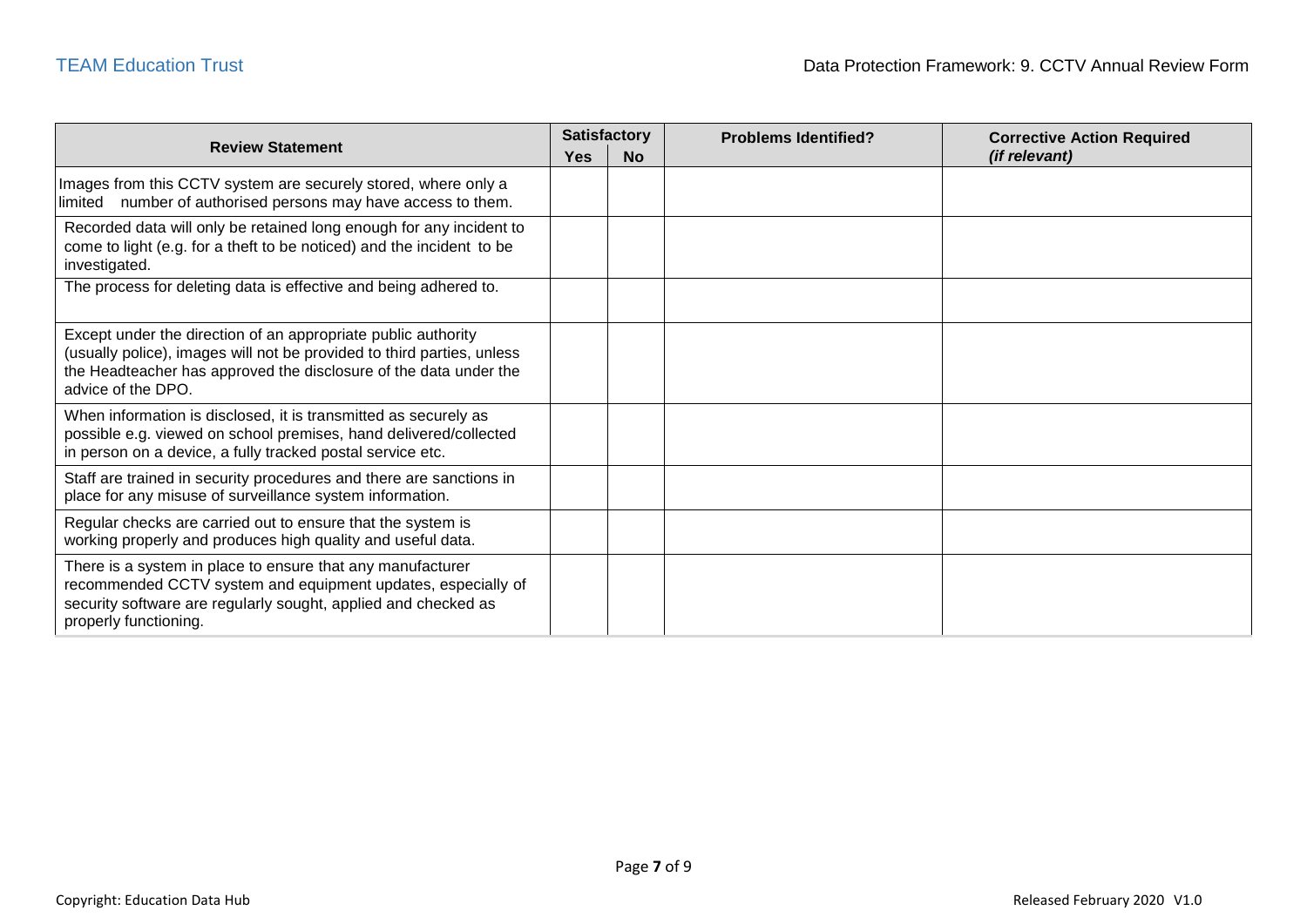| <b>Review Statement</b>                                                                                                                                                                                                            |  | <b>Satisfactory</b> | <b>Problems Identified?</b> | <b>Corrective Action Required</b> |  |
|------------------------------------------------------------------------------------------------------------------------------------------------------------------------------------------------------------------------------------|--|---------------------|-----------------------------|-----------------------------------|--|
|                                                                                                                                                                                                                                    |  | <b>No</b>           |                             | <i>(if relevant)</i>              |  |
| Images from this CCTV system are securely stored, where only a<br>limited number of authorised persons may have access to them.                                                                                                    |  |                     |                             |                                   |  |
| Recorded data will only be retained long enough for any incident to<br>come to light (e.g. for a theft to be noticed) and the incident to be<br>investigated.                                                                      |  |                     |                             |                                   |  |
| The process for deleting data is effective and being adhered to.                                                                                                                                                                   |  |                     |                             |                                   |  |
| Except under the direction of an appropriate public authority<br>(usually police), images will not be provided to third parties, unless<br>the Headteacher has approved the disclosure of the data under the<br>advice of the DPO. |  |                     |                             |                                   |  |
| When information is disclosed, it is transmitted as securely as<br>possible e.g. viewed on school premises, hand delivered/collected<br>in person on a device, a fully tracked postal service etc.                                 |  |                     |                             |                                   |  |
| Staff are trained in security procedures and there are sanctions in<br>place for any misuse of surveillance system information.                                                                                                    |  |                     |                             |                                   |  |
| Regular checks are carried out to ensure that the system is<br>working properly and produces high quality and useful data.                                                                                                         |  |                     |                             |                                   |  |
| There is a system in place to ensure that any manufacturer<br>recommended CCTV system and equipment updates, especially of<br>security software are regularly sought, applied and checked as<br>properly functioning.              |  |                     |                             |                                   |  |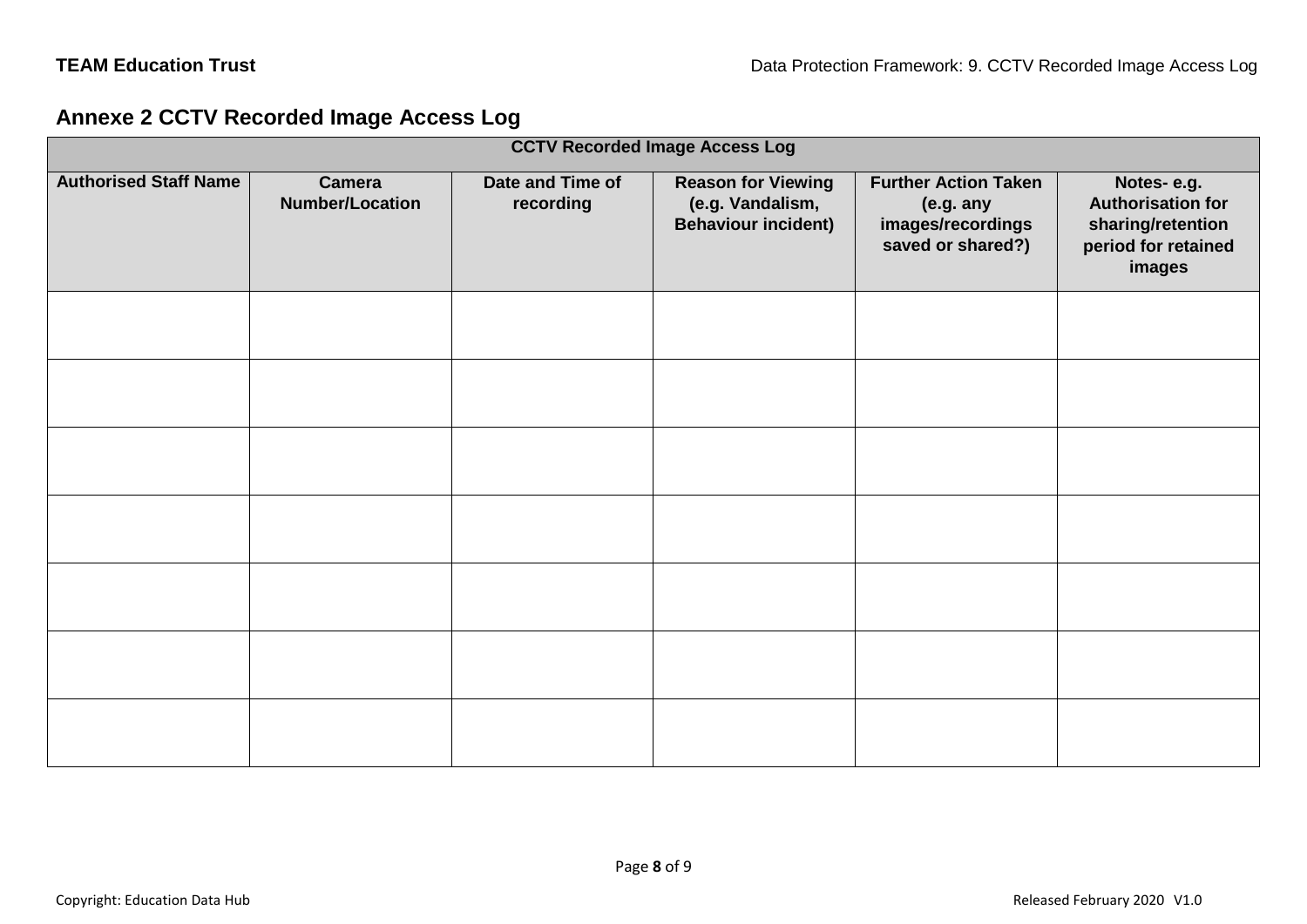### **Annexe 2 CCTV Recorded Image Access Log**

<span id="page-7-0"></span>

| <b>CCTV Recorded Image Access Log</b> |                                         |                               |                                                                             |                                                                                    |                                                                                              |  |  |
|---------------------------------------|-----------------------------------------|-------------------------------|-----------------------------------------------------------------------------|------------------------------------------------------------------------------------|----------------------------------------------------------------------------------------------|--|--|
| <b>Authorised Staff Name</b>          | <b>Camera</b><br><b>Number/Location</b> | Date and Time of<br>recording | <b>Reason for Viewing</b><br>(e.g. Vandalism,<br><b>Behaviour incident)</b> | <b>Further Action Taken</b><br>(e.g. any<br>images/recordings<br>saved or shared?) | Notes-e.g.<br><b>Authorisation for</b><br>sharing/retention<br>period for retained<br>images |  |  |
|                                       |                                         |                               |                                                                             |                                                                                    |                                                                                              |  |  |
|                                       |                                         |                               |                                                                             |                                                                                    |                                                                                              |  |  |
|                                       |                                         |                               |                                                                             |                                                                                    |                                                                                              |  |  |
|                                       |                                         |                               |                                                                             |                                                                                    |                                                                                              |  |  |
|                                       |                                         |                               |                                                                             |                                                                                    |                                                                                              |  |  |
|                                       |                                         |                               |                                                                             |                                                                                    |                                                                                              |  |  |
|                                       |                                         |                               |                                                                             |                                                                                    |                                                                                              |  |  |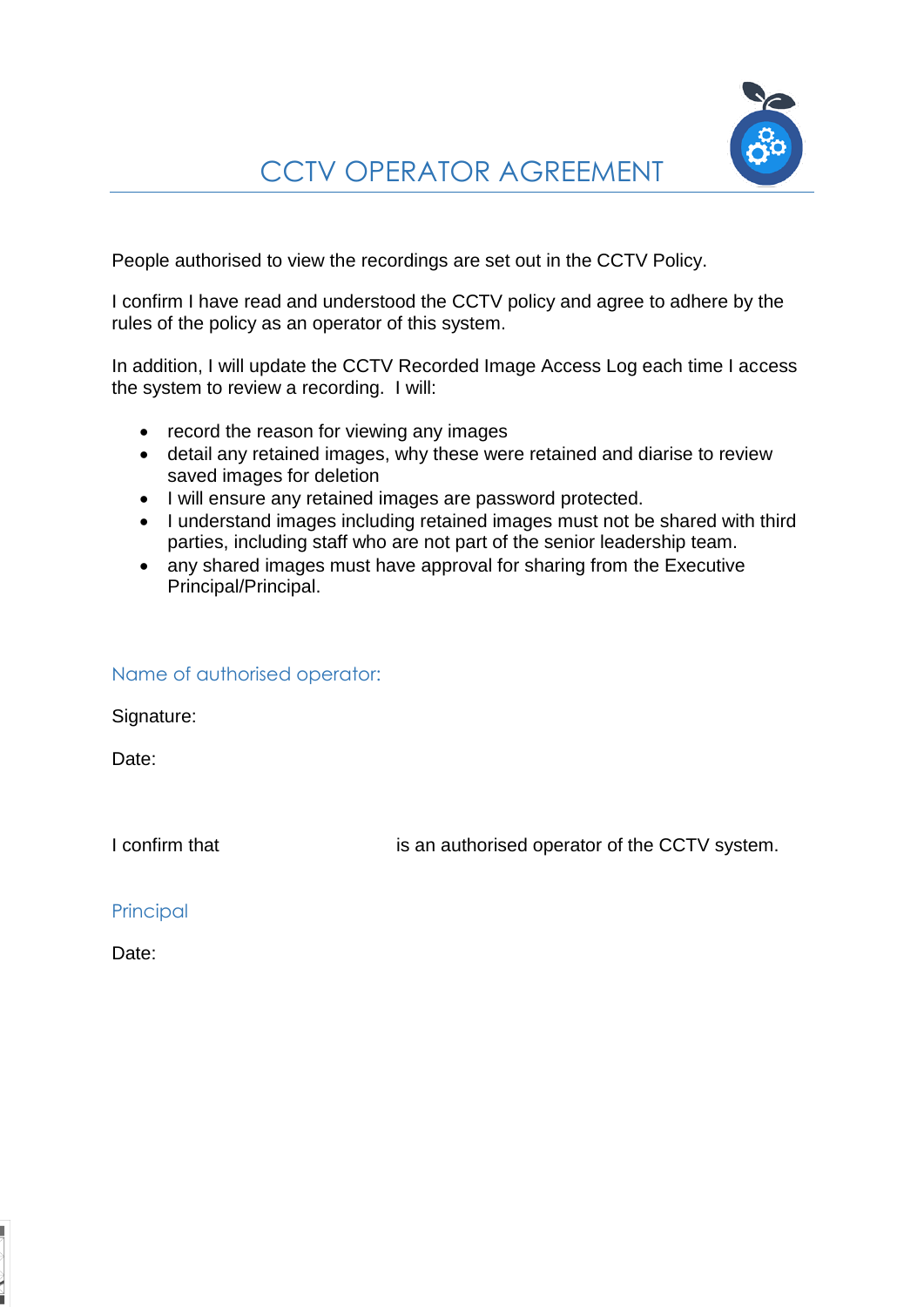<span id="page-8-0"></span>People authorised to view the recordings are set out in the CCTV Policy.

I confirm I have read and understood the CCTV policy and agree to adhere by the rules of the policy as an operator of this system.

In addition, I will update the CCTV Recorded Image Access Log each time I access the system to review a recording. I will:

- record the reason for viewing any images
- detail any retained images, why these were retained and diarise to review saved images for deletion
- I will ensure any retained images are password protected.
- I understand images including retained images must not be shared with third parties, including staff who are not part of the senior leadership team.
- any shared images must have approval for sharing from the Executive Principal/Principal.

#### Name of authorised operator:

Signature:

Date:

I confirm that is an authorised operator of the CCTV system.

**Principal** 

Date: